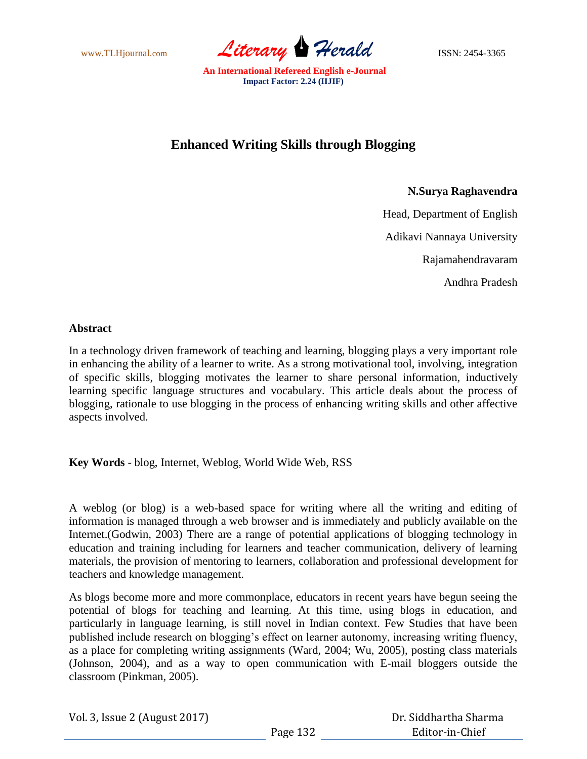www.TLHjournal.com *Literary Herald*ISSN: 2454-3365

# **Enhanced Writing Skills through Blogging**

## **N.Surya Raghavendra**

Head, Department of English Adikavi Nannaya University Rajamahendravaram Andhra Pradesh

## **Abstract**

In a technology driven framework of teaching and learning, blogging plays a very important role in enhancing the ability of a learner to write. As a strong motivational tool, involving, integration of specific skills, blogging motivates the learner to share personal information, inductively learning specific language structures and vocabulary. This article deals about the process of blogging, rationale to use blogging in the process of enhancing writing skills and other affective aspects involved.

**Key Words** - blog, Internet, Weblog, World Wide Web, RSS

A weblog (or blog) is a web-based space for writing where all the writing and editing of information is managed through a web browser and is immediately and publicly available on the Internet.(Godwin, 2003) There are a range of potential applications of blogging technology in education and training including for learners and teacher communication, delivery of learning materials, the provision of mentoring to learners, collaboration and professional development for teachers and knowledge management.

As blogs become more and more commonplace, educators in recent years have begun seeing the potential of blogs for teaching and learning. At this time, using blogs in education, and particularly in language learning, is still novel in Indian context. Few Studies that have been published include research on blogging's effect on learner autonomy, increasing writing fluency, as a place for completing writing assignments (Ward, 2004; Wu, 2005), posting class materials (Johnson, 2004), and as a way to open communication with E-mail bloggers outside the classroom (Pinkman, 2005).

|  |  | Vol. 3, Issue 2 (August 2017) |  |
|--|--|-------------------------------|--|
|--|--|-------------------------------|--|

 Dr. Siddhartha Sharma Editor-in-Chief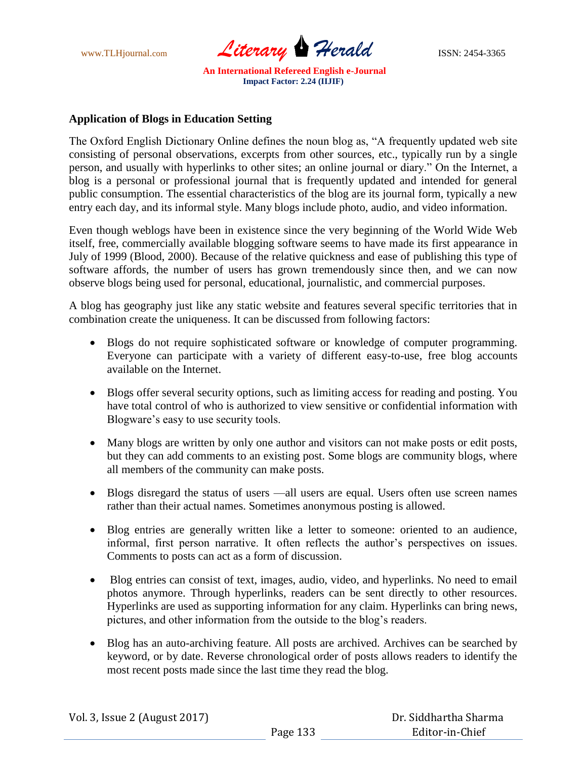

# **Application of Blogs in Education Setting**

The Oxford English Dictionary Online defines the noun blog as, "A frequently updated web site consisting of personal observations, excerpts from other sources, etc., typically run by a single person, and usually with hyperlinks to other sites; an online journal or diary." On the Internet, a blog is a personal or professional journal that is frequently updated and intended for general public consumption. The essential characteristics of the blog are its journal form, typically a new entry each day, and its informal style. Many blogs include photo, audio, and video information.

Even though weblogs have been in existence since the very beginning of the World Wide Web itself, free, commercially available blogging software seems to have made its first appearance in July of 1999 (Blood, 2000). Because of the relative quickness and ease of publishing this type of software affords, the number of users has grown tremendously since then, and we can now observe blogs being used for personal, educational, journalistic, and commercial purposes.

A blog has geography just like any static website and features several specific territories that in combination create the uniqueness. It can be discussed from following factors:

- Blogs do not require sophisticated software or knowledge of computer programming. Everyone can participate with a variety of different easy-to-use, free blog accounts available on the Internet.
- Blogs offer several security options, such as limiting access for reading and posting. You have total control of who is authorized to view sensitive or confidential information with Blogware's easy to use security tools.
- Many blogs are written by only one author and visitors can not make posts or edit posts, but they can add comments to an existing post. Some blogs are community blogs, where all members of the community can make posts.
- Blogs disregard the status of users —all users are equal. Users often use screen names rather than their actual names. Sometimes anonymous posting is allowed.
- Blog entries are generally written like a letter to someone: oriented to an audience, informal, first person narrative. It often reflects the author's perspectives on issues. Comments to posts can act as a form of discussion.
- Blog entries can consist of text, images, audio, video, and hyperlinks. No need to email photos anymore. Through hyperlinks, readers can be sent directly to other resources. Hyperlinks are used as supporting information for any claim. Hyperlinks can bring news, pictures, and other information from the outside to the blog's readers.
- Blog has an auto-archiving feature. All posts are archived. Archives can be searched by keyword, or by date. Reverse chronological order of posts allows readers to identify the most recent posts made since the last time they read the blog.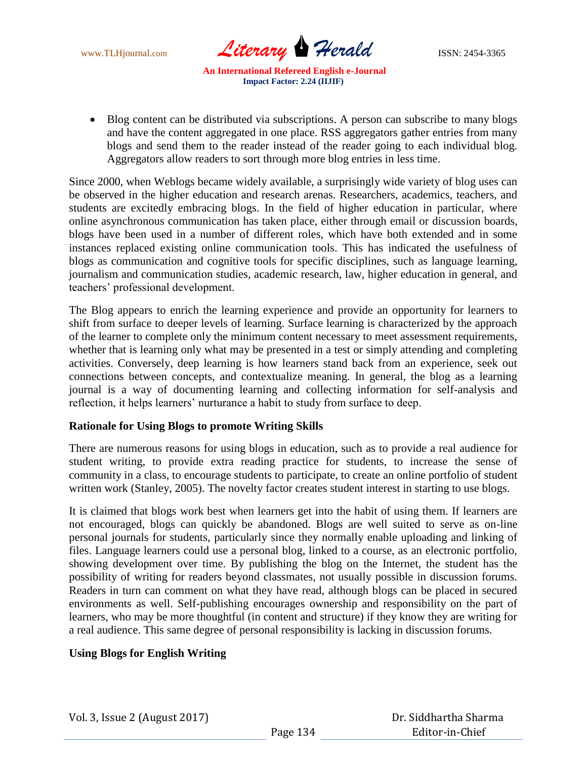www.TLHjournal.com *Literary Herald*ISSN: 2454-3365

• Blog content can be distributed via subscriptions. A person can subscribe to many blogs and have the content aggregated in one place. RSS aggregators gather entries from many blogs and send them to the reader instead of the reader going to each individual blog. Aggregators allow readers to sort through more blog entries in less time.

Since 2000, when Weblogs became widely available, a surprisingly wide variety of blog uses can be observed in the higher education and research arenas. Researchers, academics, teachers, and students are excitedly embracing blogs. In the field of higher education in particular, where online asynchronous communication has taken place, either through email or discussion boards, blogs have been used in a number of different roles, which have both extended and in some instances replaced existing online communication tools. This has indicated the usefulness of blogs as communication and cognitive tools for specific disciplines, such as language learning, journalism and communication studies, academic research, law, higher education in general, and teachers' professional development.

The Blog appears to enrich the learning experience and provide an opportunity for learners to shift from surface to deeper levels of learning. Surface learning is characterized by the approach of the learner to complete only the minimum content necessary to meet assessment requirements, whether that is learning only what may be presented in a test or simply attending and completing activities. Conversely, deep learning is how learners stand back from an experience, seek out connections between concepts, and contextualize meaning. In general, the blog as a learning journal is a way of documenting learning and collecting information for self-analysis and reflection, it helps learners' nurturance a habit to study from surface to deep.

#### **Rationale for Using Blogs to promote Writing Skills**

There are numerous reasons for using blogs in education, such as to provide a real audience for student writing, to provide extra reading practice for students, to increase the sense of community in a class, to encourage students to participate, to create an online portfolio of student written work (Stanley, 2005). The novelty factor creates student interest in starting to use blogs.

It is claimed that blogs work best when learners get into the habit of using them. If learners are not encouraged, blogs can quickly be abandoned. Blogs are well suited to serve as on-line personal journals for students, particularly since they normally enable uploading and linking of files. Language learners could use a personal blog, linked to a course, as an electronic portfolio, showing development over time. By publishing the blog on the Internet, the student has the possibility of writing for readers beyond classmates, not usually possible in discussion forums. Readers in turn can comment on what they have read, although blogs can be placed in secured environments as well. Self-publishing encourages ownership and responsibility on the part of learners, who may be more thoughtful (in content and structure) if they know they are writing for a real audience. This same degree of personal responsibility is lacking in discussion forums.

## **Using Blogs for English Writing**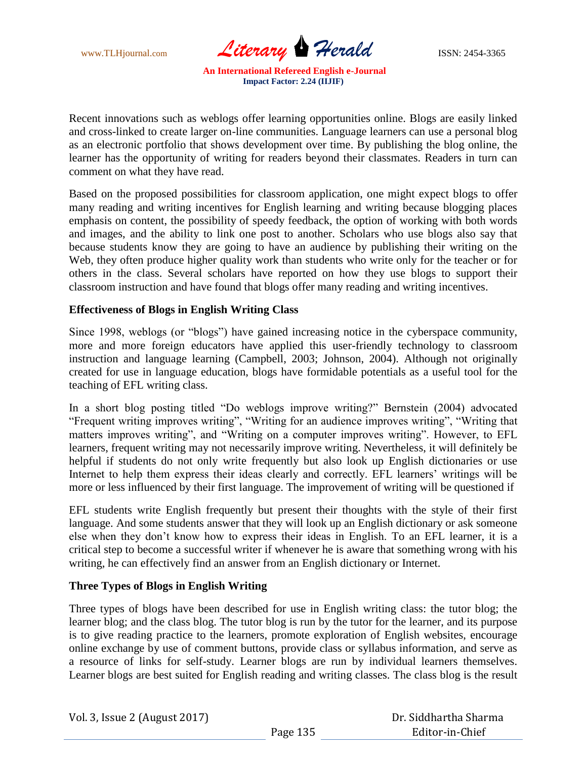www.TLHjournal.com **Literary Herald ISSN: 2454-3365** 

Recent innovations such as weblogs offer learning opportunities online. Blogs are easily linked and cross-linked to create larger on-line communities. Language learners can use a personal blog as an electronic portfolio that shows development over time. By publishing the blog online, the learner has the opportunity of writing for readers beyond their classmates. Readers in turn can comment on what they have read.

Based on the proposed possibilities for classroom application, one might expect blogs to offer many reading and writing incentives for English learning and writing because blogging places emphasis on content, the possibility of speedy feedback, the option of working with both words and images, and the ability to link one post to another. Scholars who use blogs also say that because students know they are going to have an audience by publishing their writing on the Web, they often produce higher quality work than students who write only for the teacher or for others in the class. Several scholars have reported on how they use blogs to support their classroom instruction and have found that blogs offer many reading and writing incentives.

## **Effectiveness of Blogs in English Writing Class**

Since 1998, weblogs (or "blogs") have gained increasing notice in the cyberspace community, more and more foreign educators have applied this user-friendly technology to classroom instruction and language learning (Campbell, 2003; Johnson, 2004). Although not originally created for use in language education, blogs have formidable potentials as a useful tool for the teaching of EFL writing class.

In a short blog posting titled "Do weblogs improve writing?" Bernstein (2004) advocated "Frequent writing improves writing", "Writing for an audience improves writing", "Writing that matters improves writing", and "Writing on a computer improves writing". However, to EFL learners, frequent writing may not necessarily improve writing. Nevertheless, it will definitely be helpful if students do not only write frequently but also look up English dictionaries or use Internet to help them express their ideas clearly and correctly. EFL learners' writings will be more or less influenced by their first language. The improvement of writing will be questioned if

EFL students write English frequently but present their thoughts with the style of their first language. And some students answer that they will look up an English dictionary or ask someone else when they don't know how to express their ideas in English. To an EFL learner, it is a critical step to become a successful writer if whenever he is aware that something wrong with his writing, he can effectively find an answer from an English dictionary or Internet.

#### **Three Types of Blogs in English Writing**

Three types of blogs have been described for use in English writing class: the tutor blog; the learner blog; and the class blog. The tutor blog is run by the tutor for the learner, and its purpose is to give reading practice to the learners, promote exploration of English websites, encourage online exchange by use of comment buttons, provide class or syllabus information, and serve as a resource of links for self-study. Learner blogs are run by individual learners themselves. Learner blogs are best suited for English reading and writing classes. The class blog is the result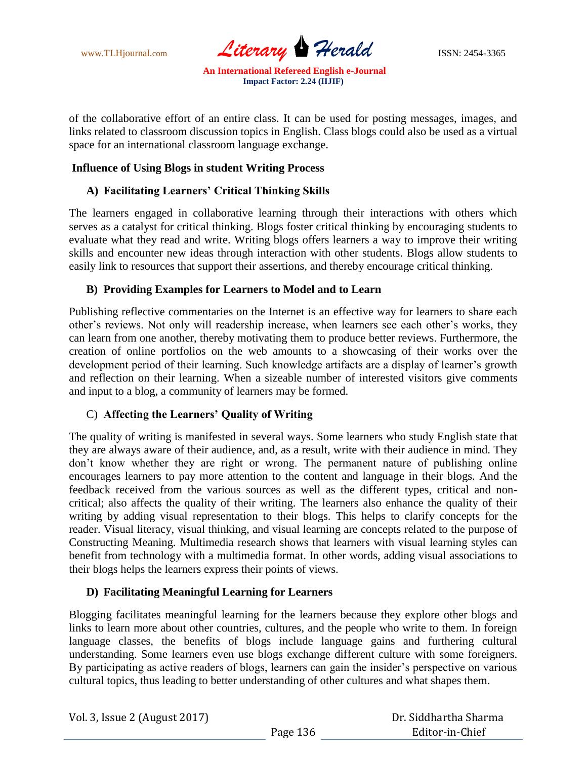

of the collaborative effort of an entire class. It can be used for posting messages, images, and links related to classroom discussion topics in English. Class blogs could also be used as a virtual space for an international classroom language exchange.

## **Influence of Using Blogs in student Writing Process**

## **A) Facilitating Learners' Critical Thinking Skills**

The learners engaged in collaborative learning through their interactions with others which serves as a catalyst for critical thinking. Blogs foster critical thinking by encouraging students to evaluate what they read and write. Writing blogs offers learners a way to improve their writing skills and encounter new ideas through interaction with other students. Blogs allow students to easily link to resources that support their assertions, and thereby encourage critical thinking.

## **B) Providing Examples for Learners to Model and to Learn**

Publishing reflective commentaries on the Internet is an effective way for learners to share each other's reviews. Not only will readership increase, when learners see each other's works, they can learn from one another, thereby motivating them to produce better reviews. Furthermore, the creation of online portfolios on the web amounts to a showcasing of their works over the development period of their learning. Such knowledge artifacts are a display of learner's growth and reflection on their learning. When a sizeable number of interested visitors give comments and input to a blog, a community of learners may be formed.

## C) **Affecting the Learners' Quality of Writing**

The quality of writing is manifested in several ways. Some learners who study English state that they are always aware of their audience, and, as a result, write with their audience in mind. They don't know whether they are right or wrong. The permanent nature of publishing online encourages learners to pay more attention to the content and language in their blogs. And the feedback received from the various sources as well as the different types, critical and noncritical; also affects the quality of their writing. The learners also enhance the quality of their writing by adding visual representation to their blogs. This helps to clarify concepts for the reader. Visual literacy, visual thinking, and visual learning are concepts related to the purpose of Constructing Meaning. Multimedia research shows that learners with visual learning styles can benefit from technology with a multimedia format. In other words, adding visual associations to their blogs helps the learners express their points of views.

#### **D) Facilitating Meaningful Learning for Learners**

Blogging facilitates meaningful learning for the learners because they explore other blogs and links to learn more about other countries, cultures, and the people who write to them. In foreign language classes, the benefits of blogs include language gains and furthering cultural understanding. Some learners even use blogs exchange different culture with some foreigners. By participating as active readers of blogs, learners can gain the insider's perspective on various cultural topics, thus leading to better understanding of other cultures and what shapes them.

|  | Vol. 3, Issue 2 (August 2017) |
|--|-------------------------------|
|--|-------------------------------|

 Dr. Siddhartha Sharma Editor-in-Chief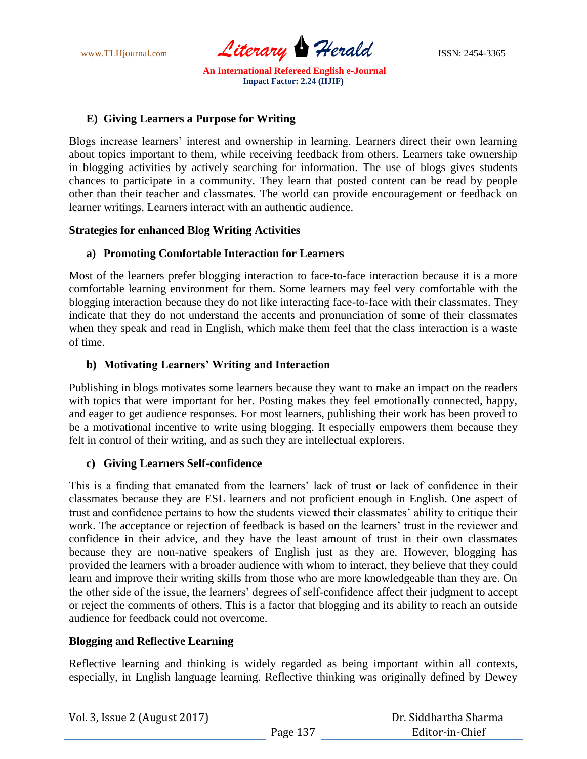

# **E) Giving Learners a Purpose for Writing**

Blogs increase learners' interest and ownership in learning. Learners direct their own learning about topics important to them, while receiving feedback from others. Learners take ownership in blogging activities by actively searching for information. The use of blogs gives students chances to participate in a community. They learn that posted content can be read by people other than their teacher and classmates. The world can provide encouragement or feedback on learner writings. Learners interact with an authentic audience.

## **Strategies for enhanced Blog Writing Activities**

## **a) Promoting Comfortable Interaction for Learners**

Most of the learners prefer blogging interaction to face-to-face interaction because it is a more comfortable learning environment for them. Some learners may feel very comfortable with the blogging interaction because they do not like interacting face-to-face with their classmates. They indicate that they do not understand the accents and pronunciation of some of their classmates when they speak and read in English, which make them feel that the class interaction is a waste of time.

## **b) Motivating Learners' Writing and Interaction**

Publishing in blogs motivates some learners because they want to make an impact on the readers with topics that were important for her. Posting makes they feel emotionally connected, happy, and eager to get audience responses. For most learners, publishing their work has been proved to be a motivational incentive to write using blogging. It especially empowers them because they felt in control of their writing, and as such they are intellectual explorers.

## **c) Giving Learners Self-confidence**

This is a finding that emanated from the learners' lack of trust or lack of confidence in their classmates because they are ESL learners and not proficient enough in English. One aspect of trust and confidence pertains to how the students viewed their classmates' ability to critique their work. The acceptance or rejection of feedback is based on the learners' trust in the reviewer and confidence in their advice, and they have the least amount of trust in their own classmates because they are non-native speakers of English just as they are. However, blogging has provided the learners with a broader audience with whom to interact, they believe that they could learn and improve their writing skills from those who are more knowledgeable than they are. On the other side of the issue, the learners' degrees of self-confidence affect their judgment to accept or reject the comments of others. This is a factor that blogging and its ability to reach an outside audience for feedback could not overcome.

## **Blogging and Reflective Learning**

Reflective learning and thinking is widely regarded as being important within all contexts, especially, in English language learning. Reflective thinking was originally defined by Dewey

| Vol. 3, Issue 2 (August 2017) |          | Dr. Siddhartha Sharma |
|-------------------------------|----------|-----------------------|
|                               | Page 137 | Editor-in-Chief       |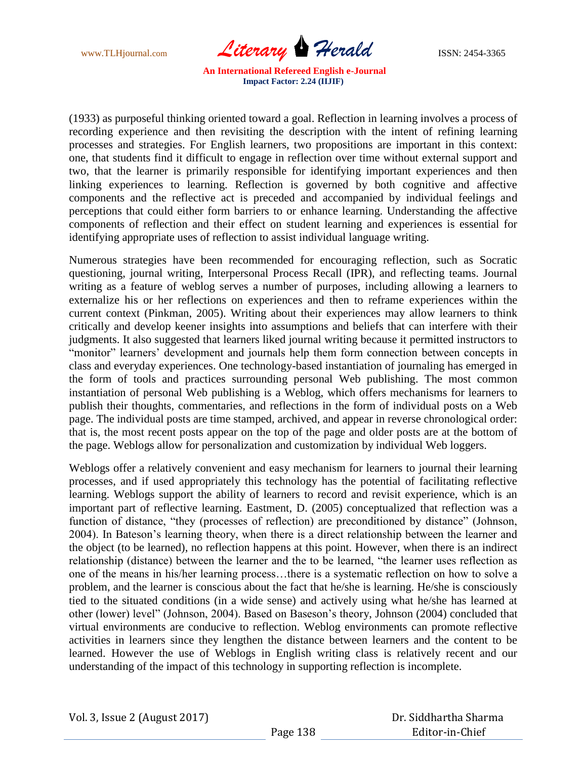www.TLHjournal.com *Literary Herald* ISSN: 2454-3365

(1933) as purposeful thinking oriented toward a goal. Reflection in learning involves a process of recording experience and then revisiting the description with the intent of refining learning processes and strategies. For English learners, two propositions are important in this context: one, that students find it difficult to engage in reflection over time without external support and two, that the learner is primarily responsible for identifying important experiences and then linking experiences to learning. Reflection is governed by both cognitive and affective components and the reflective act is preceded and accompanied by individual feelings and perceptions that could either form barriers to or enhance learning. Understanding the affective components of reflection and their effect on student learning and experiences is essential for identifying appropriate uses of reflection to assist individual language writing.

Numerous strategies have been recommended for encouraging reflection, such as Socratic questioning, journal writing, Interpersonal Process Recall (IPR), and reflecting teams. Journal writing as a feature of weblog serves a number of purposes, including allowing a learners to externalize his or her reflections on experiences and then to reframe experiences within the current context (Pinkman, 2005). Writing about their experiences may allow learners to think critically and develop keener insights into assumptions and beliefs that can interfere with their judgments. It also suggested that learners liked journal writing because it permitted instructors to "monitor" learners' development and journals help them form connection between concepts in class and everyday experiences. One technology-based instantiation of journaling has emerged in the form of tools and practices surrounding personal Web publishing. The most common instantiation of personal Web publishing is a Weblog, which offers mechanisms for learners to publish their thoughts, commentaries, and reflections in the form of individual posts on a Web page. The individual posts are time stamped, archived, and appear in reverse chronological order: that is, the most recent posts appear on the top of the page and older posts are at the bottom of the page. Weblogs allow for personalization and customization by individual Web loggers.

Weblogs offer a relatively convenient and easy mechanism for learners to journal their learning processes, and if used appropriately this technology has the potential of facilitating reflective learning. Weblogs support the ability of learners to record and revisit experience, which is an important part of reflective learning. Eastment, D. (2005) conceptualized that reflection was a function of distance, "they (processes of reflection) are preconditioned by distance" (Johnson, 2004). In Bateson's learning theory, when there is a direct relationship between the learner and the object (to be learned), no reflection happens at this point. However, when there is an indirect relationship (distance) between the learner and the to be learned, "the learner uses reflection as one of the means in his/her learning process…there is a systematic reflection on how to solve a problem, and the learner is conscious about the fact that he/she is learning. He/she is consciously tied to the situated conditions (in a wide sense) and actively using what he/she has learned at other (lower) level" (Johnson, 2004). Based on Baseson's theory, Johnson (2004) concluded that virtual environments are conducive to reflection. Weblog environments can promote reflective activities in learners since they lengthen the distance between learners and the content to be learned. However the use of Weblogs in English writing class is relatively recent and our understanding of the impact of this technology in supporting reflection is incomplete.